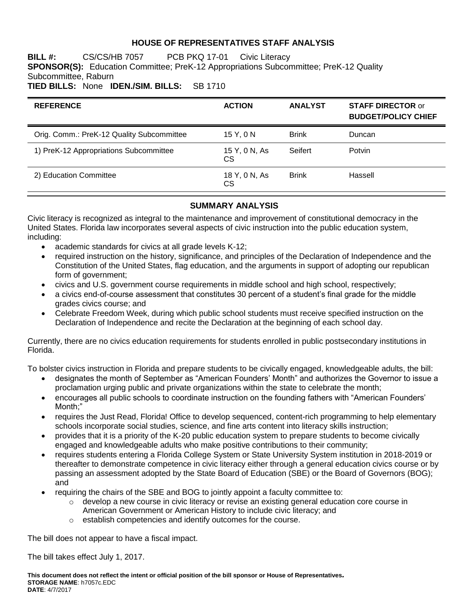# **HOUSE OF REPRESENTATIVES STAFF ANALYSIS**

**BILL #:** CS/CS/HB 7057 PCB PKQ 17-01 Civic Literacy **SPONSOR(S):** Education Committee; PreK-12 Appropriations Subcommittee; PreK-12 Quality Subcommittee, Raburn **TIED BILLS:** None **IDEN./SIM. BILLS:** SB 1710

| <b>REFERENCE</b>                          | <b>ACTION</b>              | <b>ANALYST</b> | <b>STAFF DIRECTOR or</b><br><b>BUDGET/POLICY CHIEF</b> |
|-------------------------------------------|----------------------------|----------------|--------------------------------------------------------|
| Orig. Comm.: PreK-12 Quality Subcommittee | 15 Y, 0 N                  | <b>Brink</b>   | Duncan                                                 |
| 1) PreK-12 Appropriations Subcommittee    | 15 Y, 0 N, As<br>CS        | Seifert        | Potvin                                                 |
| 2) Education Committee                    | 18 Y, 0 N, As<br><b>CS</b> | <b>Brink</b>   | Hassell                                                |

#### **SUMMARY ANALYSIS**

Civic literacy is recognized as integral to the maintenance and improvement of constitutional democracy in the United States. Florida law incorporates several aspects of civic instruction into the public education system, including:

- academic standards for civics at all grade levels K-12;
- required instruction on the history, significance, and principles of the Declaration of Independence and the Constitution of the United States, flag education, and the arguments in support of adopting our republican form of government;
- civics and U.S. government course requirements in middle school and high school, respectively;
- a civics end-of-course assessment that constitutes 30 percent of a student's final grade for the middle grades civics course; and
- Celebrate Freedom Week, during which public school students must receive specified instruction on the Declaration of Independence and recite the Declaration at the beginning of each school day.

Currently, there are no civics education requirements for students enrolled in public postsecondary institutions in Florida.

To bolster civics instruction in Florida and prepare students to be civically engaged, knowledgeable adults, the bill:

- designates the month of September as "American Founders' Month" and authorizes the Governor to issue a proclamation urging public and private organizations within the state to celebrate the month;
- encourages all public schools to coordinate instruction on the founding fathers with "American Founders' Month;"
- requires the Just Read, Florida! Office to develop sequenced, content-rich programming to help elementary schools incorporate social studies, science, and fine arts content into literacy skills instruction;
- provides that it is a priority of the K-20 public education system to prepare students to become civically engaged and knowledgeable adults who make positive contributions to their community;
- requires students entering a Florida College System or State University System institution in 2018-2019 or thereafter to demonstrate competence in civic literacy either through a general education civics course or by passing an assessment adopted by the State Board of Education (SBE) or the Board of Governors (BOG); and
- requiring the chairs of the SBE and BOG to jointly appoint a faculty committee to:
	- $\circ$  develop a new course in civic literacy or revise an existing general education core course in American Government or American History to include civic literacy; and
	- o establish competencies and identify outcomes for the course.

The bill does not appear to have a fiscal impact.

The bill takes effect July 1, 2017.

**This document does not reflect the intent or official position of the bill sponsor or House of Representatives***.* **STORAGE NAME**: h7057c.EDC **DATE**: 4/7/2017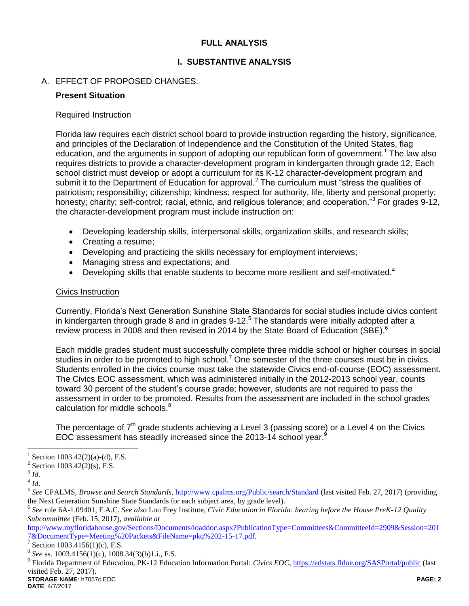# **FULL ANALYSIS**

# **I. SUBSTANTIVE ANALYSIS**

# A. EFFECT OF PROPOSED CHANGES:

#### **Present Situation**

#### Required Instruction

Florida law requires each district school board to provide instruction regarding the history, significance, and principles of the Declaration of Independence and the Constitution of the United States, flag education, and the arguments in support of adopting our republican form of government.<sup>1</sup> The law also requires districts to provide a character-development program in kindergarten through grade 12. Each school district must develop or adopt a curriculum for its K-12 character-development program and submit it to the Department of Education for approval.<sup>2</sup> The curriculum must "stress the qualities of patriotism; responsibility; citizenship; kindness; respect for authority, life, liberty and personal property; honesty; charity; self-control; racial, ethnic, and religious tolerance; and cooperation."<sup>3</sup> For grades 9-12, the character-development program must include instruction on:

- Developing leadership skills, interpersonal skills, organization skills, and research skills;
- Creating a resume;
- Developing and practicing the skills necessary for employment interviews;
- Managing stress and expectations; and
- Developing skills that enable students to become more resilient and self-motivated.<sup>4</sup>

# Civics Instruction

Currently, Florida's Next Generation Sunshine State Standards for social studies include civics content in kindergarten through grade 8 and in grades 9-12. $5$  The standards were initially adopted after a review process in 2008 and then revised in 2014 by the State Board of Education (SBE).<sup>6</sup>

Each middle grades student must successfully complete three middle school or higher courses in social studies in order to be promoted to high school.<sup>7</sup> One semester of the three courses must be in civics. Students enrolled in the civics course must take the statewide Civics end-of-course (EOC) assessment. The Civics EOC assessment, which was administered initially in the 2012-2013 school year, counts toward 30 percent of the student's course grade; however, students are not required to pass the assessment in order to be promoted. Results from the assessment are included in the school grades calculation for middle schools.<sup>8</sup>

The percentage of  $7<sup>th</sup>$  grade students achieving a Level 3 (passing score) or a Level 4 on the Civics EOC assessment has steadily increased since the 2013-14 school year.<sup>9</sup>

 $\overline{a}$ 

<sup>&</sup>lt;sup>1</sup> Section 1003.42(2)(a)-(d), F.S.

<sup>&</sup>lt;sup>2</sup> Section 1003.42(2)(s), F.S.

<sup>3</sup> *Id*.

 $^4$  *Id*.

<sup>&</sup>lt;sup>5</sup> See CPALMS, *Browse and Search Standards*, *http://www.cpalms.org/Public/search/Standard* (last visited Feb. 27, 2017) (providing the Next Generation Sunshine State Standards for each subject area, by grade level).

<sup>6</sup> *See* rule 6A-1.09401, F.A.C. *See also* Lou Frey Institute, *Civic Education in Florida: hearing before the House PreK-12 Quality Subcommittee* (Feb. 15, 2017), *available at* 

[http://www.myfloridahouse.gov/Sections/Documents/loaddoc.aspx?PublicationType=Committees&CommitteeId=2909&Session=201](http://www.myfloridahouse.gov/Sections/Documents/loaddoc.aspx?PublicationType=Committees&CommitteeId=2909&Session=2017&DocumentType=Meeting%20Packets&FileName=pkq%202-15-17.pdf) [7&DocumentType=Meeting%20Packets&FileName=pkq%202-15-17.pdf.](http://www.myfloridahouse.gov/Sections/Documents/loaddoc.aspx?PublicationType=Committees&CommitteeId=2909&Session=2017&DocumentType=Meeting%20Packets&FileName=pkq%202-15-17.pdf)

<sup>7</sup> Section 1003.4156(1)(c), F.S.

<sup>8</sup> *See* ss. 1003.4156(1)(c), 1008.34(3)(b)1.i., F.S.

**STORAGE NAME**: h7057c.EDC **PAGE: 2** 9 Florida Department of Education, PK-12 Education Information Portal: *Civics EOC*,<https://edstats.fldoe.org/SASPortal/public> (last visited Feb. 27, 2017).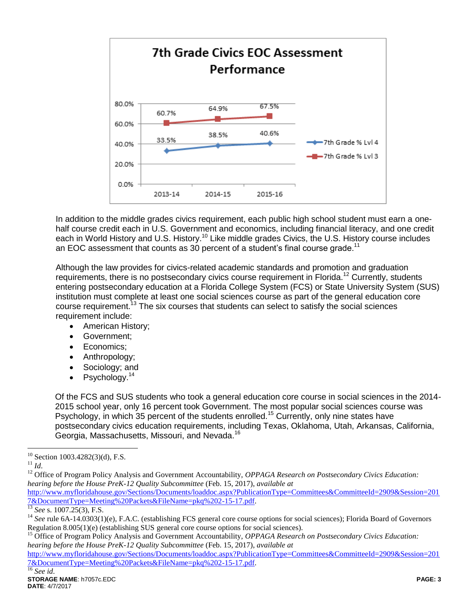

In addition to the middle grades civics requirement, each public high school student must earn a onehalf course credit each in U.S. Government and economics, including financial literacy, and one credit each in World History and U.S. History.<sup>10</sup> Like middle grades Civics, the U.S. History course includes an EOC assessment that counts as 30 percent of a student's final course grade.<sup>11</sup>

Although the law provides for civics-related academic standards and promotion and graduation requirements, there is no postsecondary civics course requirement in Florida.<sup>12</sup> Currently, students entering postsecondary education at a Florida College System (FCS) or State University System (SUS) institution must complete at least one social sciences course as part of the general education core course requirement.<sup>13</sup> The six courses that students can select to satisfy the social sciences requirement include:

- American History;
- Government:
- Economics:
- Anthropology;
- Sociology: and
- Psychology.<sup>14</sup>

Of the FCS and SUS students who took a general education core course in social sciences in the 2014- 2015 school year, only 16 percent took Government. The most popular social sciences course was Psychology, in which 35 percent of the students enrolled.<sup>15</sup> Currently, only nine states have postsecondary civics education requirements, including Texas, Oklahoma, Utah, Arkansas, California, Georgia, Massachusetts, Missouri, and Nevada.<sup>16</sup>

[http://www.myfloridahouse.gov/Sections/Documents/loaddoc.aspx?PublicationType=Committees&CommitteeId=2909&Session=201](http://www.myfloridahouse.gov/Sections/Documents/loaddoc.aspx?PublicationType=Committees&CommitteeId=2909&Session=2017&DocumentType=Meeting%20Packets&FileName=pkq%202-15-17.pdf) [7&DocumentType=Meeting%20Packets&FileName=pkq%202-15-17.pdf.](http://www.myfloridahouse.gov/Sections/Documents/loaddoc.aspx?PublicationType=Committees&CommitteeId=2909&Session=2017&DocumentType=Meeting%20Packets&FileName=pkq%202-15-17.pdf)

 $\overline{a}$  $10$  Section 1003.4282(3)(d), F.S.

<sup>11</sup> *Id*.

<sup>&</sup>lt;sup>12</sup> Office of Program Policy Analysis and Government Accountability, *OPPAGA Research on Postsecondary Civics Education*: *hearing before the House PreK-12 Quality Subcommittee* (Feb. 15, 2017), *available at* 

<sup>13</sup> *See* s. 1007.25(3), F.S.

<sup>&</sup>lt;sup>14</sup> See rule 6A-14.0303(1)(e), F.A.C. (establishing FCS general core course options for social sciences); Florida Board of Governors Regulation 8.005(1)(e) (establishing SUS general core course options for social sciences).

<sup>&</sup>lt;sup>15</sup> Office of Program Policy Analysis and Government Accountability, *OPPAGA Research on Postsecondary Civics Education*: *hearing before the House PreK-12 Quality Subcommittee* (Feb. 15, 2017), *available at* 

[http://www.myfloridahouse.gov/Sections/Documents/loaddoc.aspx?PublicationType=Committees&CommitteeId=2909&Session=201](http://www.myfloridahouse.gov/Sections/Documents/loaddoc.aspx?PublicationType=Committees&CommitteeId=2909&Session=2017&DocumentType=Meeting%20Packets&FileName=pkq%202-15-17.pdf) [7&DocumentType=Meeting%20Packets&FileName=pkq%202-15-17.pdf.](http://www.myfloridahouse.gov/Sections/Documents/loaddoc.aspx?PublicationType=Committees&CommitteeId=2909&Session=2017&DocumentType=Meeting%20Packets&FileName=pkq%202-15-17.pdf)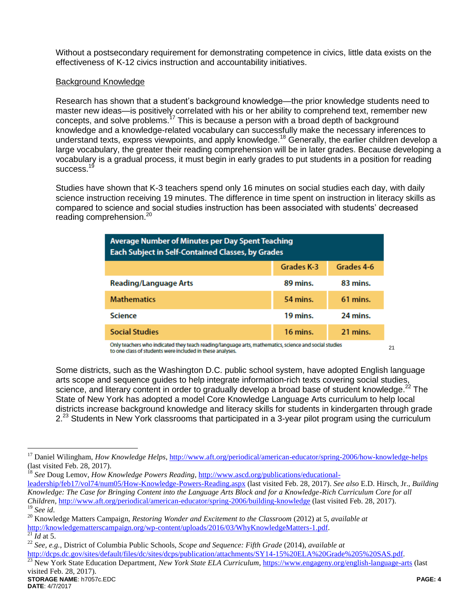Without a postsecondary requirement for demonstrating competence in civics, little data exists on the effectiveness of K-12 civics instruction and accountability initiatives.

#### Background Knowledge

Research has shown that a student's background knowledge—the prior knowledge students need to master new ideas—is positively correlated with his or her ability to comprehend text, remember new concepts, and solve problems.<sup>17</sup> This is because a person with a broad depth of background knowledge and a knowledge-related vocabulary can successfully make the necessary inferences to understand texts, express viewpoints, and apply knowledge.<sup>18</sup> Generally, the earlier children develop a large vocabulary, the greater their reading comprehension will be in later grades. Because developing a vocabulary is a gradual process, it must begin in early grades to put students in a position for reading success.<sup>19</sup>

Studies have shown that K-3 teachers spend only 16 minutes on social studies each day, with daily science instruction receiving 19 minutes. The difference in time spent on instruction in literacy skills as compared to science and social studies instruction has been associated with students' decreased reading comprehension.<sup>20</sup>

| Average Number of Minutes per Day Spent Teaching<br>Each Subject in Self-Contained Classes, by Grades |            |            |  |
|-------------------------------------------------------------------------------------------------------|------------|------------|--|
|                                                                                                       | Grades K-3 | Grades 4-6 |  |
| <b>Reading/Language Arts</b>                                                                          | 89 mins.   | 83 mins.   |  |
| <b>Mathematics</b>                                                                                    | 54 mins.   | 61 mins.   |  |
| <b>Science</b>                                                                                        | 19 mins.   | 24 mins.   |  |
| <b>Social Studies</b>                                                                                 | 16 mins.   | 21 mins.   |  |

Only teachers who indicated they teach reading/language arts, mathematics, science and social studies to one class of students were included in these analyses.

Some districts, such as the Washington D.C. public school system, have adopted English language arts scope and sequence guides to help integrate information-rich texts covering social studies, science, and literary content in order to gradually develop a broad base of student knowledge.<sup>22</sup> The State of New York has adopted a model Core Knowledge Language Arts curriculum to help local districts increase background knowledge and literacy skills for students in kindergarten through grade  $2.^{23}$  Students in New York classrooms that participated in a 3-year pilot program using the curriculum

 $\frac{21}{21}$ *Id* at 5.

 $\overline{a}$ 

21

<sup>17</sup> Daniel Wilingham, *How Knowledge Helps*,<http://www.aft.org/periodical/american-educator/spring-2006/how-knowledge-helps> (last visited Feb. 28, 2017).

<sup>&</sup>lt;sup>18</sup> See Doug Lemov, *How Knowledge Powers Reading*, [http://www.ascd.org/publications/educational-](http://www.ascd.org/publications/educational-leadership/feb17/vol74/num05/How-Knowledge-Powers-Reading.aspx)

[leadership/feb17/vol74/num05/How-Knowledge-Powers-Reading.aspx](http://www.ascd.org/publications/educational-leadership/feb17/vol74/num05/How-Knowledge-Powers-Reading.aspx) (last visited Feb. 28, 2017). *See also* E.D. Hirsch, Jr., *Building Knowledge: The Case for Bringing Content into the Language Arts Block and for a Knowledge-Rich Curriculum Core for all Children*[, http://www.aft.org/periodical/american-educator/spring-2006/building-knowledge](http://www.aft.org/periodical/american-educator/spring-2006/building-knowledge) (last visited Feb. 28, 2017). <sup>19</sup> *See id*.

<sup>20</sup> Knowledge Matters Campaign, *Restoring Wonder and Excitement to the Classroom* (2012) at 5, *available at*  [http://knowledgematterscampaign.org/wp-content/uploads/2016/03/WhyKnowledgeMatters-1.pdf.](http://knowledgematterscampaign.org/wp-content/uploads/2016/03/WhyKnowledgeMatters-1.pdf)

<sup>22</sup> *See, e.g.*, District of Columbia Public Schools, *Scope and Sequence: Fifth Grade* (2014), *available at* 

[http://dcps.dc.gov/sites/default/files/dc/sites/dcps/publication/attachments/SY14-15%20ELA%20Grade%205%20SAS.pdf.](http://dcps.dc.gov/sites/default/files/dc/sites/dcps/publication/attachments/SY14-15%20ELA%20Grade%205%20SAS.pdf)

**STORAGE NAME**: h7057c.EDC **PAGE: 4** <sup>23</sup> New York State Education Department, *New York State ELA Curriculum*,<https://www.engageny.org/english-language-arts> (last visited Feb. 28, 2017).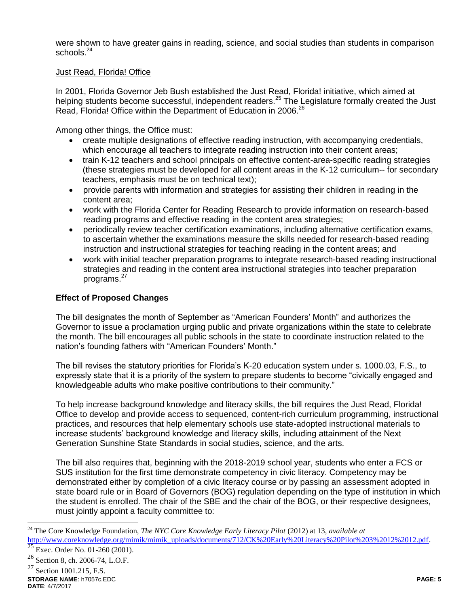were shown to have greater gains in reading, science, and social studies than students in comparison schools.<sup>24</sup>

#### Just Read, Florida! Office

In 2001, Florida Governor Jeb Bush established the Just Read, Florida! initiative, which aimed at helping students become successful, independent readers.<sup>25</sup> The Legislature formally created the Just Read, Florida! Office within the Department of Education in 2006.<sup>26</sup>

Among other things, the Office must:

- create multiple designations of effective reading instruction, with accompanying credentials, which encourage all teachers to integrate reading instruction into their content areas;
- train K-12 teachers and school principals on effective content-area-specific reading strategies (these strategies must be developed for all content areas in the K-12 curriculum-- for secondary teachers, emphasis must be on technical text);
- provide parents with information and strategies for assisting their children in reading in the content area;
- work with the Florida Center for Reading Research to provide information on research-based reading programs and effective reading in the content area strategies;
- periodically review teacher certification examinations, including alternative certification exams, to ascertain whether the examinations measure the skills needed for research-based reading instruction and instructional strategies for teaching reading in the content areas; and
- work with initial teacher preparation programs to integrate research-based reading instructional strategies and reading in the content area instructional strategies into teacher preparation programs. 27

# **Effect of Proposed Changes**

The bill designates the month of September as "American Founders' Month" and authorizes the Governor to issue a proclamation urging public and private organizations within the state to celebrate the month. The bill encourages all public schools in the state to coordinate instruction related to the nation's founding fathers with "American Founders' Month."

The bill revises the statutory priorities for Florida's K-20 education system under s. 1000.03, F.S., to expressly state that it is a priority of the system to prepare students to become "civically engaged and knowledgeable adults who make positive contributions to their community."

To help increase background knowledge and literacy skills, the bill requires the Just Read, Florida! Office to develop and provide access to sequenced, content-rich curriculum programming, instructional practices, and resources that help elementary schools use state-adopted instructional materials to increase students' background knowledge and literacy skills, including attainment of the Next Generation Sunshine State Standards in social studies, science, and the arts.

The bill also requires that, beginning with the 2018-2019 school year, students who enter a FCS or SUS institution for the first time demonstrate competency in civic literacy. Competency may be demonstrated either by completion of a civic literacy course or by passing an assessment adopted in state board rule or in Board of Governors (BOG) regulation depending on the type of institution in which the student is enrolled. The chair of the SBE and the chair of the BOG, or their respective designees, must jointly appoint a faculty committee to:

 $\overline{a}$ 

<sup>24</sup> The Core Knowledge Foundation, *The NYC Core Knowledge Early Literacy Pilot* (2012) at 13, *available at*  [http://www.coreknowledge.org/mimik/mimik\\_uploads/documents/712/CK%20Early%20Literacy%20Pilot%203%2012%2012.pdf.](http://www.coreknowledge.org/mimik/mimik_uploads/documents/712/CK%20Early%20Literacy%20Pilot%203%2012%2012.pdf)

Exec. Order No. 01-260 (2001).

<sup>&</sup>lt;sup>26</sup> Section 8, ch. 2006-74, L.O.F.<br><sup>27</sup> Section 1001 215 F.S.

**STORAGE NAME**: h7057c.EDC **PAGE: 5** Section 1001.215, F.S.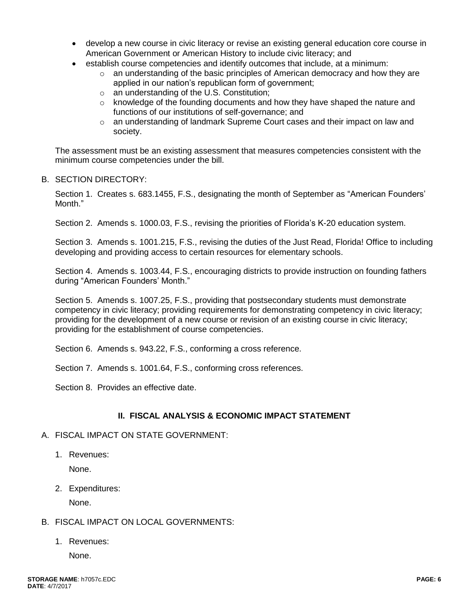- develop a new course in civic literacy or revise an existing general education core course in American Government or American History to include civic literacy; and
- establish course competencies and identify outcomes that include, at a minimum:
	- $\circ$  an understanding of the basic principles of American democracy and how they are applied in our nation's republican form of government;
	- o an understanding of the U.S. Constitution;
	- $\circ$  knowledge of the founding documents and how they have shaped the nature and functions of our institutions of self-governance; and
	- o an understanding of landmark Supreme Court cases and their impact on law and society.

The assessment must be an existing assessment that measures competencies consistent with the minimum course competencies under the bill.

# B. SECTION DIRECTORY:

Section 1. Creates s. 683.1455, F.S., designating the month of September as "American Founders' Month."

Section 2. Amends s. 1000.03, F.S., revising the priorities of Florida's K-20 education system.

Section 3. Amends s. 1001.215, F.S., revising the duties of the Just Read, Florida! Office to including developing and providing access to certain resources for elementary schools.

Section 4. Amends s. 1003.44, F.S., encouraging districts to provide instruction on founding fathers during "American Founders' Month."

Section 5. Amends s. 1007.25, F.S., providing that postsecondary students must demonstrate competency in civic literacy; providing requirements for demonstrating competency in civic literacy; providing for the development of a new course or revision of an existing course in civic literacy; providing for the establishment of course competencies.

Section 6. Amends s. 943.22, F.S., conforming a cross reference.

Section 7. Amends s. 1001.64, F.S., conforming cross references.

Section 8. Provides an effective date.

# **II. FISCAL ANALYSIS & ECONOMIC IMPACT STATEMENT**

# A. FISCAL IMPACT ON STATE GOVERNMENT:

1. Revenues:

None.

2. Expenditures:

None.

- B. FISCAL IMPACT ON LOCAL GOVERNMENTS:
	- 1. Revenues:

None.